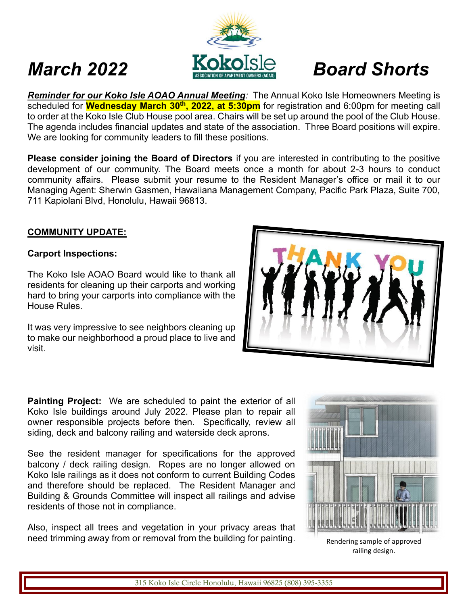# *March 2022 Board Shorts*

*Reminder for our Koko Isle AOAO Annual Meeting:* The Annual Koko Isle Homeowners Meeting is scheduled for **Wednesday March 30th , 2022, at 5:30pm** for registration and 6:00pm for meeting call to order at the Koko Isle Club House pool area. Chairs will be set up around the pool of the Club House. The agenda includes financial updates and state of the association. Three Board positions will expire. We are looking for community leaders to fill these positions.

**Please consider joining the Board of Directors** if you are interested in contributing to the positive development of our community. The Board meets once a month for about 2-3 hours to conduct community affairs. Please submit your resume to the Resident Manager's office or mail it to our Managing Agent: Sherwin Gasmen, Hawaiiana Management Company, Pacific Park Plaza, Suite 700, 711 Kapiolani Blvd, Honolulu, Hawaii 96813.

## **COMMUNITY UPDATE:**

### **Carport Inspections:**

The Koko Isle AOAO Board would like to thank all residents for cleaning up their carports and working hard to bring your carports into compliance with the House Rules.

It was very impressive to see neighbors cleaning up to make our neighborhood a proud place to live and visit.

**Painting Project:** We are scheduled to paint the exterior of all Koko Isle buildings around July 2022. Please plan to repair all owner responsible projects before then. Specifically, review all siding, deck and balcony railing and waterside deck aprons.

See the resident manager for specifications for the approved balcony / deck railing design. Ropes are no longer allowed on Koko Isle railings as it does not conform to current Building Codes and therefore should be replaced. The Resident Manager and Building & Grounds Committee will inspect all railings and advise residents of those not in compliance.

Also, inspect all trees and vegetation in your privacy areas that need trimming away from or removal from the building for painting. Rendering sample of approved



railing design.